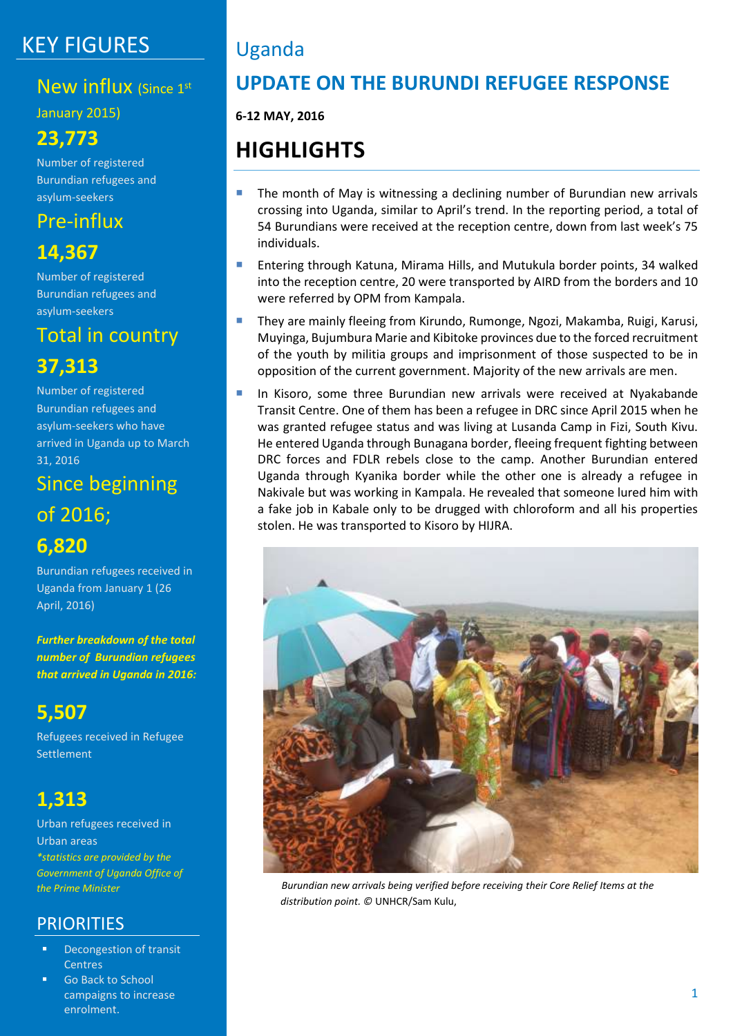# KEY FIGURES

## New influx (Since 1st

January 2015)

## **23,773**

Number of registered Burundian refugees and asylum-seekers

## Pre-influx

## **14,367**

Number of registered Burundian refugees and asylum-seekers

# Total in country

## **37,313**

Number of registered Burundian refugees and asylum-seekers who have arrived in Uganda up to March 31, 2016

# Since beginning of 2016;

## **6,820**

Burundian refugees received in Uganda from January 1 (26 April, 2016)

*Further breakdown of the total number of Burundian refugees that arrived in Uganda in 2016:*

# **5,507**

Refugees received in Refugee Settlement

## **1,313**

Urban refugees received in Urban areas *\*statistics are provided by the Government of Uganda Office of the Prime Minister*

## **PRIORITIES**

- Decongestion of transit Centres
- Go Back to School campaigns to increase enrolment.

# Uganda

## **UPDATE ON THE BURUNDI REFUGEE RESPONSE**

**6-12 MAY, 2016**

# **HIGHLIGHTS**

- **The month of May is witnessing a declining number of Burundian new arrivals** crossing into Uganda, similar to April's trend. In the reporting period, a total of 54 Burundians were received at the reception centre, down from last week's 75 individuals.
- **Entering through Katuna, Mirama Hills, and Mutukula border points, 34 walked** into the reception centre, 20 were transported by AIRD from the borders and 10 were referred by OPM from Kampala.
- **They are mainly fleeing from Kirundo, Rumonge, Ngozi, Makamba, Ruigi, Karusi,** Muyinga, Bujumbura Marie and Kibitoke provinces due to the forced recruitment of the youth by militia groups and imprisonment of those suspected to be in opposition of the current government. Majority of the new arrivals are men.
- **In Kisoro, some three Burundian new arrivals were received at Nyakabande** Transit Centre. One of them has been a refugee in DRC since April 2015 when he was granted refugee status and was living at Lusanda Camp in Fizi, South Kivu. He entered Uganda through Bunagana border, fleeing frequent fighting between DRC forces and FDLR rebels close to the camp. Another Burundian entered Uganda through Kyanika border while the other one is already a refugee in Nakivale but was working in Kampala. He revealed that someone lured him with a fake job in Kabale only to be drugged with chloroform and all his properties stolen. He was transported to Kisoro by HIJRA.



*Burundian new arrivals being verified before receiving their Core Relief Items at the distribution point. ©* UNHCR/Sam Kulu,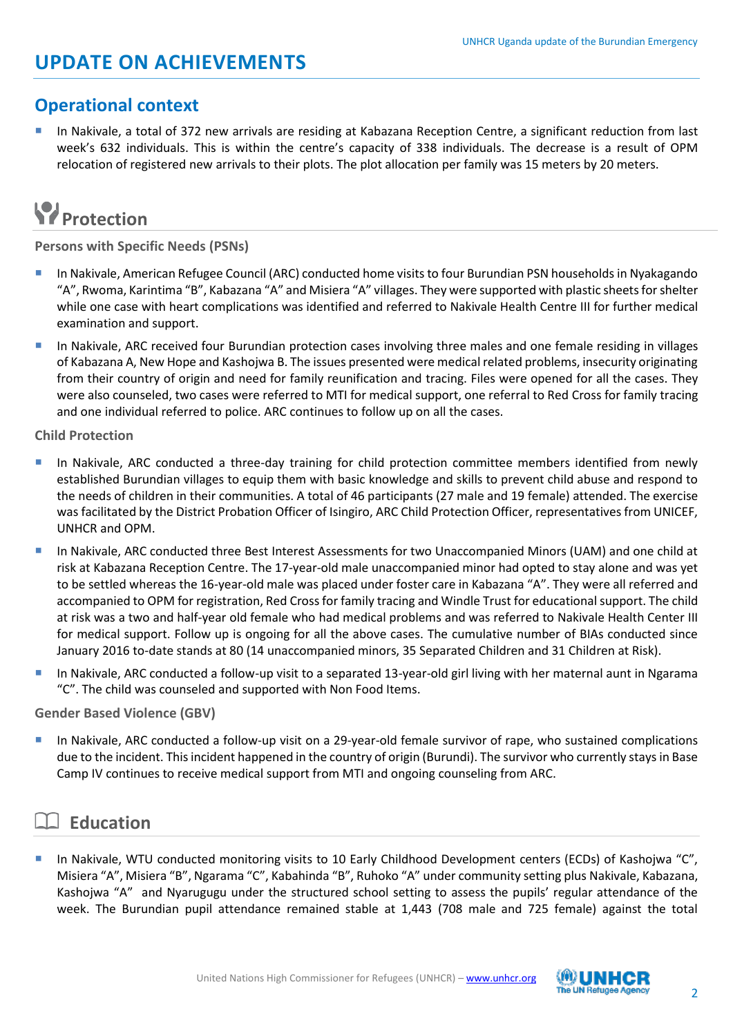## **Operational context**

 In Nakivale, a total of 372 new arrivals are residing at Kabazana Reception Centre, a significant reduction from last week's 632 individuals. This is within the centre's capacity of 338 individuals. The decrease is a result of OPM relocation of registered new arrivals to their plots. The plot allocation per family was 15 meters by 20 meters.

# **Protection**

**Persons with Specific Needs (PSNs)**

- In Nakivale, American Refugee Council (ARC) conducted home visits to four Burundian PSN households in Nyakagando "A", Rwoma, Karintima "B", Kabazana "A" and Misiera "A" villages. They were supported with plastic sheets for shelter while one case with heart complications was identified and referred to Nakivale Health Centre III for further medical examination and support.
- In Nakivale, ARC received four Burundian protection cases involving three males and one female residing in villages of Kabazana A, New Hope and Kashojwa B. The issues presented were medical related problems, insecurity originating from their country of origin and need for family reunification and tracing. Files were opened for all the cases. They were also counseled, two cases were referred to MTI for medical support, one referral to Red Cross for family tracing and one individual referred to police. ARC continues to follow up on all the cases.

### **Child Protection**

- In Nakivale, ARC conducted a three-day training for child protection committee members identified from newly established Burundian villages to equip them with basic knowledge and skills to prevent child abuse and respond to the needs of children in their communities. A total of 46 participants (27 male and 19 female) attended. The exercise was facilitated by the District Probation Officer of Isingiro, ARC Child Protection Officer, representatives from UNICEF, UNHCR and OPM.
- In Nakivale, ARC conducted three Best Interest Assessments for two Unaccompanied Minors (UAM) and one child at risk at Kabazana Reception Centre. The 17-year-old male unaccompanied minor had opted to stay alone and was yet to be settled whereas the 16-year-old male was placed under foster care in Kabazana "A". They were all referred and accompanied to OPM for registration, Red Cross for family tracing and Windle Trust for educational support. The child at risk was a two and half-year old female who had medical problems and was referred to Nakivale Health Center III for medical support. Follow up is ongoing for all the above cases. The cumulative number of BIAs conducted since January 2016 to-date stands at 80 (14 unaccompanied minors, 35 Separated Children and 31 Children at Risk).
- In Nakivale, ARC conducted a follow-up visit to a separated 13-year-old girl living with her maternal aunt in Ngarama "C". The child was counseled and supported with Non Food Items.

### **Gender Based Violence (GBV)**

In Nakivale, ARC conducted a follow-up visit on a 29-year-old female survivor of rape, who sustained complications due to the incident. This incident happened in the country of origin (Burundi). The survivor who currently stays in Base Camp IV continues to receive medical support from MTI and ongoing counseling from ARC.

## **Education**

 In Nakivale, WTU conducted monitoring visits to 10 Early Childhood Development centers (ECDs) of Kashojwa "C", Misiera "A", Misiera "B", Ngarama "C", Kabahinda "B", Ruhoko "A" under community setting plus Nakivale, Kabazana, Kashojwa "A" and Nyarugugu under the structured school setting to assess the pupils' regular attendance of the week. The Burundian pupil attendance remained stable at 1,443 (708 male and 725 female) against the total

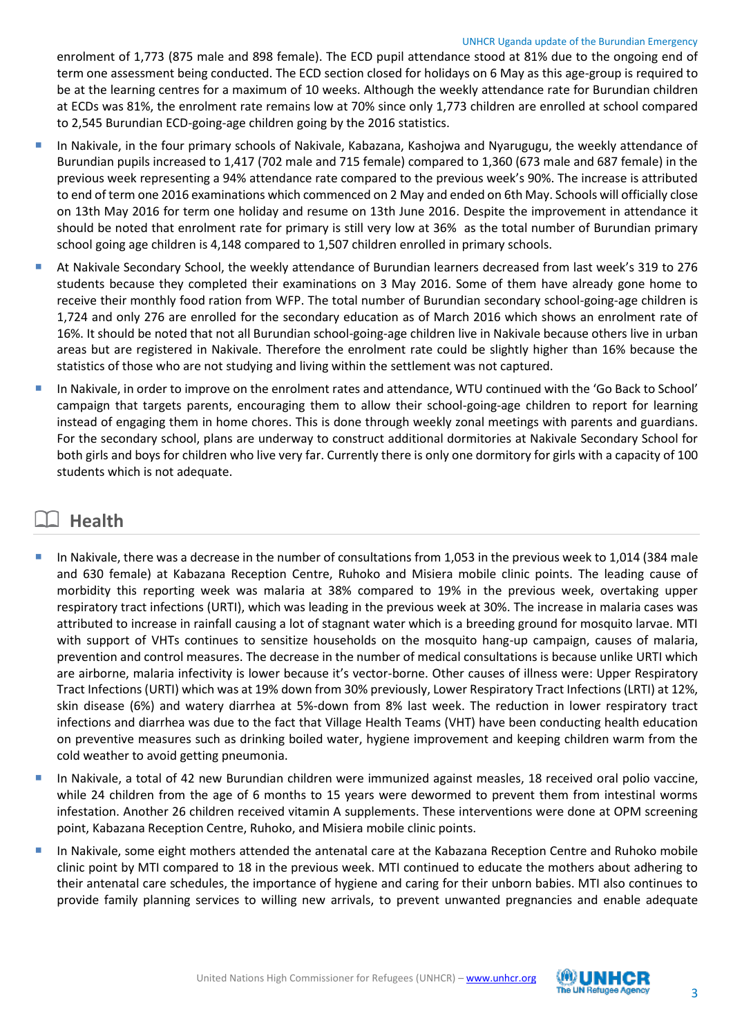### UNHCR Uganda update of the Burundian Emergency

enrolment of 1,773 (875 male and 898 female). The ECD pupil attendance stood at 81% due to the ongoing end of term one assessment being conducted. The ECD section closed for holidays on 6 May as this age-group is required to be at the learning centres for a maximum of 10 weeks. Although the weekly attendance rate for Burundian children at ECDs was 81%, the enrolment rate remains low at 70% since only 1,773 children are enrolled at school compared to 2,545 Burundian ECD-going-age children going by the 2016 statistics.

- In Nakivale, in the four primary schools of Nakivale, Kabazana, Kashojwa and Nyarugugu, the weekly attendance of Burundian pupils increased to 1,417 (702 male and 715 female) compared to 1,360 (673 male and 687 female) in the previous week representing a 94% attendance rate compared to the previous week's 90%. The increase is attributed to end of term one 2016 examinations which commenced on 2 May and ended on 6th May. Schools will officially close on 13th May 2016 for term one holiday and resume on 13th June 2016. Despite the improvement in attendance it should be noted that enrolment rate for primary is still very low at 36% as the total number of Burundian primary school going age children is 4,148 compared to 1,507 children enrolled in primary schools.
- At Nakivale Secondary School, the weekly attendance of Burundian learners decreased from last week's 319 to 276 students because they completed their examinations on 3 May 2016. Some of them have already gone home to receive their monthly food ration from WFP. The total number of Burundian secondary school-going-age children is 1,724 and only 276 are enrolled for the secondary education as of March 2016 which shows an enrolment rate of 16%. It should be noted that not all Burundian school-going-age children live in Nakivale because others live in urban areas but are registered in Nakivale. Therefore the enrolment rate could be slightly higher than 16% because the statistics of those who are not studying and living within the settlement was not captured.
- In Nakivale, in order to improve on the enrolment rates and attendance, WTU continued with the 'Go Back to School' campaign that targets parents, encouraging them to allow their school-going-age children to report for learning instead of engaging them in home chores. This is done through weekly zonal meetings with parents and guardians. For the secondary school, plans are underway to construct additional dormitories at Nakivale Secondary School for both girls and boys for children who live very far. Currently there is only one dormitory for girls with a capacity of 100 students which is not adequate.

## **Health**

- In Nakivale, there was a decrease in the number of consultations from 1,053 in the previous week to 1,014 (384 male and 630 female) at Kabazana Reception Centre, Ruhoko and Misiera mobile clinic points. The leading cause of morbidity this reporting week was malaria at 38% compared to 19% in the previous week, overtaking upper respiratory tract infections (URTI), which was leading in the previous week at 30%. The increase in malaria cases was attributed to increase in rainfall causing a lot of stagnant water which is a breeding ground for mosquito larvae. MTI with support of VHTs continues to sensitize households on the mosquito hang-up campaign, causes of malaria, prevention and control measures. The decrease in the number of medical consultations is because unlike URTI which are airborne, malaria infectivity is lower because it's vector-borne. Other causes of illness were: Upper Respiratory Tract Infections (URTI) which was at 19% down from 30% previously, Lower Respiratory Tract Infections (LRTI) at 12%, skin disease (6%) and watery diarrhea at 5%-down from 8% last week. The reduction in lower respiratory tract infections and diarrhea was due to the fact that Village Health Teams (VHT) have been conducting health education on preventive measures such as drinking boiled water, hygiene improvement and keeping children warm from the cold weather to avoid getting pneumonia.
- In Nakivale, a total of 42 new Burundian children were immunized against measles, 18 received oral polio vaccine, while 24 children from the age of 6 months to 15 years were dewormed to prevent them from intestinal worms infestation. Another 26 children received vitamin A supplements. These interventions were done at OPM screening point, Kabazana Reception Centre, Ruhoko, and Misiera mobile clinic points.
- In Nakivale, some eight mothers attended the antenatal care at the Kabazana Reception Centre and Ruhoko mobile clinic point by MTI compared to 18 in the previous week. MTI continued to educate the mothers about adhering to their antenatal care schedules, the importance of hygiene and caring for their unborn babies. MTI also continues to provide family planning services to willing new arrivals, to prevent unwanted pregnancies and enable adequate

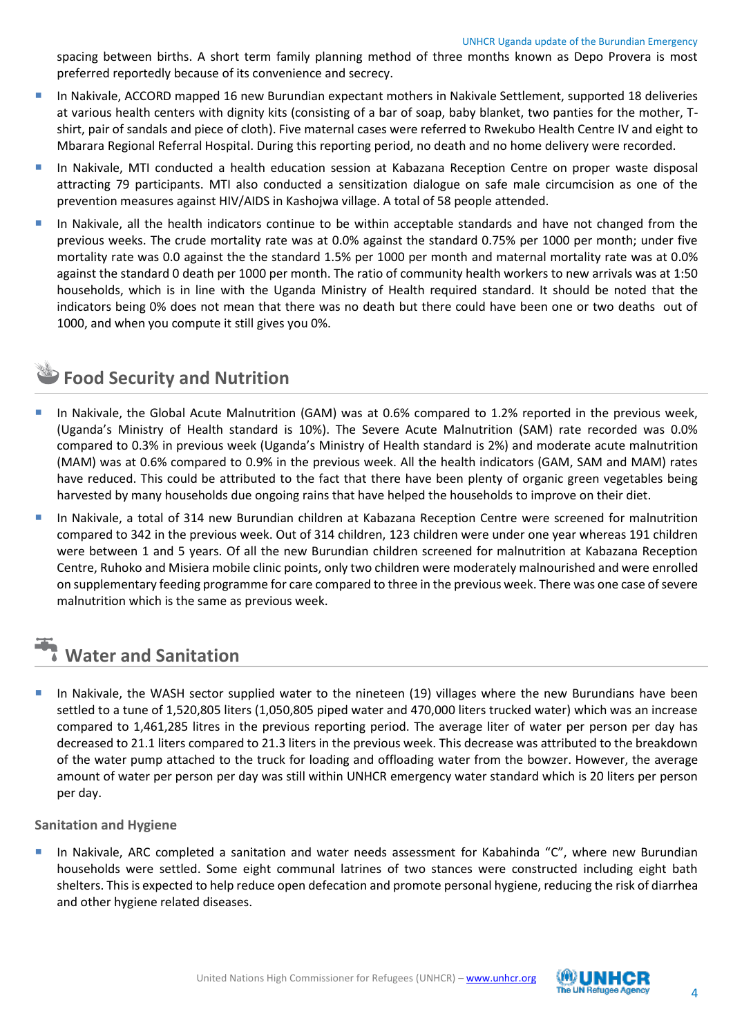spacing between births. A short term family planning method of three months known as Depo Provera is most preferred reportedly because of its convenience and secrecy.

- In Nakivale, ACCORD mapped 16 new Burundian expectant mothers in Nakivale Settlement, supported 18 deliveries at various health centers with dignity kits (consisting of a bar of soap, baby blanket, two panties for the mother, Tshirt, pair of sandals and piece of cloth). Five maternal cases were referred to Rwekubo Health Centre IV and eight to Mbarara Regional Referral Hospital. During this reporting period, no death and no home delivery were recorded.
- In Nakivale, MTI conducted a health education session at Kabazana Reception Centre on proper waste disposal attracting 79 participants. MTI also conducted a sensitization dialogue on safe male circumcision as one of the prevention measures against HIV/AIDS in Kashojwa village. A total of 58 people attended.
- In Nakivale, all the health indicators continue to be within acceptable standards and have not changed from the previous weeks. The crude mortality rate was at 0.0% against the standard 0.75% per 1000 per month; under five mortality rate was 0.0 against the the standard 1.5% per 1000 per month and maternal mortality rate was at 0.0% against the standard 0 death per 1000 per month. The ratio of community health workers to new arrivals was at 1:50 households, which is in line with the Uganda Ministry of Health required standard. It should be noted that the indicators being 0% does not mean that there was no death but there could have been one or two deaths out of 1000, and when you compute it still gives you 0%.

## **Food Security and Nutrition**

- In Nakivale, the Global Acute Malnutrition (GAM) was at 0.6% compared to 1.2% reported in the previous week, (Uganda's Ministry of Health standard is 10%). The Severe Acute Malnutrition (SAM) rate recorded was 0.0% compared to 0.3% in previous week (Uganda's Ministry of Health standard is 2%) and moderate acute malnutrition (MAM) was at 0.6% compared to 0.9% in the previous week. All the health indicators (GAM, SAM and MAM) rates have reduced. This could be attributed to the fact that there have been plenty of organic green vegetables being harvested by many households due ongoing rains that have helped the households to improve on their diet.
- In Nakivale, a total of 314 new Burundian children at Kabazana Reception Centre were screened for malnutrition compared to 342 in the previous week. Out of 314 children, 123 children were under one year whereas 191 children were between 1 and 5 years. Of all the new Burundian children screened for malnutrition at Kabazana Reception Centre, Ruhoko and Misiera mobile clinic points, only two children were moderately malnourished and were enrolled on supplementary feeding programme for care compared to three in the previous week. There was one case of severe malnutrition which is the same as previous week.

# **Water and Sanitation**

 In Nakivale, the WASH sector supplied water to the nineteen (19) villages where the new Burundians have been settled to a tune of 1,520,805 liters (1,050,805 piped water and 470,000 liters trucked water) which was an increase compared to 1,461,285 litres in the previous reporting period. The average liter of water per person per day has decreased to 21.1 liters compared to 21.3 liters in the previous week. This decrease was attributed to the breakdown of the water pump attached to the truck for loading and offloading water from the bowzer. However, the average amount of water per person per day was still within UNHCR emergency water standard which is 20 liters per person per day.

## **Sanitation and Hygiene**

 In Nakivale, ARC completed a sanitation and water needs assessment for Kabahinda "C", where new Burundian households were settled. Some eight communal latrines of two stances were constructed including eight bath shelters. This is expected to help reduce open defecation and promote personal hygiene, reducing the risk of diarrhea and other hygiene related diseases.

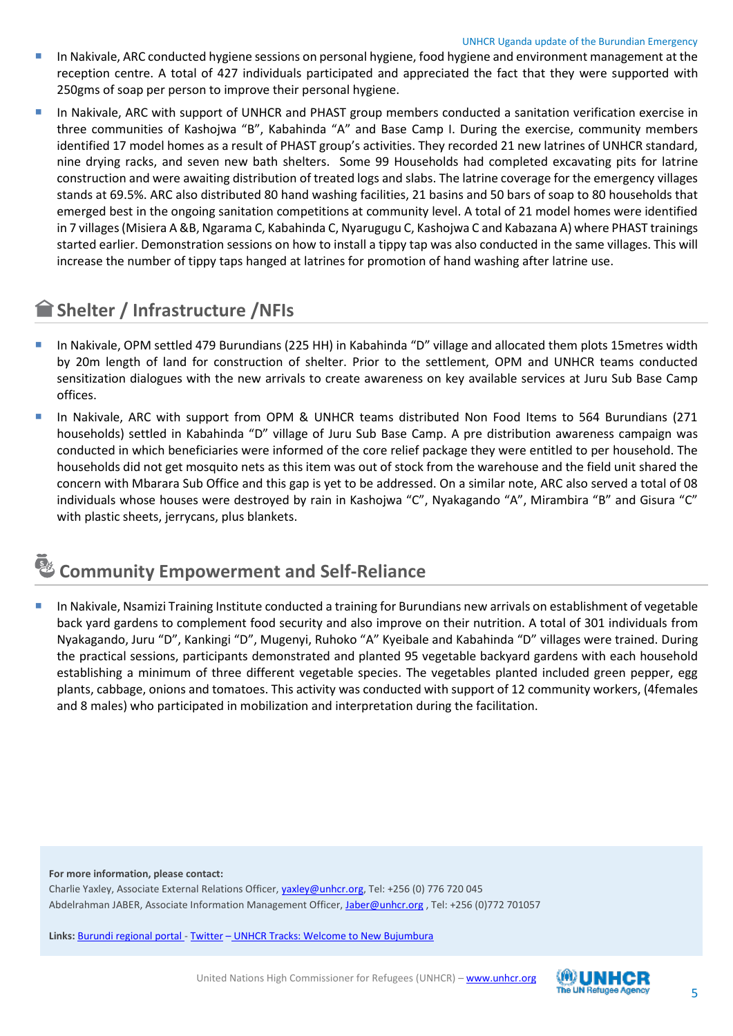- In Nakivale, ARC conducted hygiene sessions on personal hygiene, food hygiene and environment management at the reception centre. A total of 427 individuals participated and appreciated the fact that they were supported with 250gms of soap per person to improve their personal hygiene.
- In Nakivale, ARC with support of UNHCR and PHAST group members conducted a sanitation verification exercise in three communities of Kashojwa "B", Kabahinda "A" and Base Camp I. During the exercise, community members identified 17 model homes as a result of PHAST group's activities. They recorded 21 new latrines of UNHCR standard, nine drying racks, and seven new bath shelters. Some 99 Households had completed excavating pits for latrine construction and were awaiting distribution of treated logs and slabs. The latrine coverage for the emergency villages stands at 69.5%. ARC also distributed 80 hand washing facilities, 21 basins and 50 bars of soap to 80 households that emerged best in the ongoing sanitation competitions at community level. A total of 21 model homes were identified in 7 villages (Misiera A &B, Ngarama C, Kabahinda C, Nyarugugu C, Kashojwa C and Kabazana A) where PHAST trainings started earlier. Demonstration sessions on how to install a tippy tap was also conducted in the same villages. This will increase the number of tippy taps hanged at latrines for promotion of hand washing after latrine use.

## **Shelter / Infrastructure /NFIs**

- In Nakivale, OPM settled 479 Burundians (225 HH) in Kabahinda "D" village and allocated them plots 15metres width by 20m length of land for construction of shelter. Prior to the settlement, OPM and UNHCR teams conducted sensitization dialogues with the new arrivals to create awareness on key available services at Juru Sub Base Camp offices.
- In Nakivale, ARC with support from OPM & UNHCR teams distributed Non Food Items to 564 Burundians (271 households) settled in Kabahinda "D" village of Juru Sub Base Camp. A pre distribution awareness campaign was conducted in which beneficiaries were informed of the core relief package they were entitled to per household. The households did not get mosquito nets as this item was out of stock from the warehouse and the field unit shared the concern with Mbarara Sub Office and this gap is yet to be addressed. On a similar note, ARC also served a total of 08 individuals whose houses were destroyed by rain in Kashojwa "C", Nyakagando "A", Mirambira "B" and Gisura "C" with plastic sheets, jerrycans, plus blankets.

## **Community Empowerment and Self-Reliance**

 In Nakivale, Nsamizi Training Institute conducted a training for Burundians new arrivals on establishment of vegetable back yard gardens to complement food security and also improve on their nutrition. A total of 301 individuals from Nyakagando, Juru "D", Kankingi "D", Mugenyi, Ruhoko "A" Kyeibale and Kabahinda "D" villages were trained. During the practical sessions, participants demonstrated and planted 95 vegetable backyard gardens with each household establishing a minimum of three different vegetable species. The vegetables planted included green pepper, egg plants, cabbage, onions and tomatoes. This activity was conducted with support of 12 community workers, (4females and 8 males) who participated in mobilization and interpretation during the facilitation.

**For more information, please contact:**

Charlie Yaxley, Associate External Relations Officer[, yaxley@unhcr.org,](mailto:yaxley@unhcr.org) Tel: +256 (0) 776 720 045 Abdelrahman JABER, Associate Information Management Officer, [Jaber@unhcr.org](mailto:Jaber@unhcr.org) , Tel: +256 (0)772 701057

**Links:** [Burundi regional portal](http://data.unhcr.org/burundi/regional.php) - [Twitter](https://twitter.com/yaxle) – [UNHCR Tracks: Welcome to New Bujumbura](http://tracks.unhcr.org/2016/01/welcome-to-new-bujumbura/)

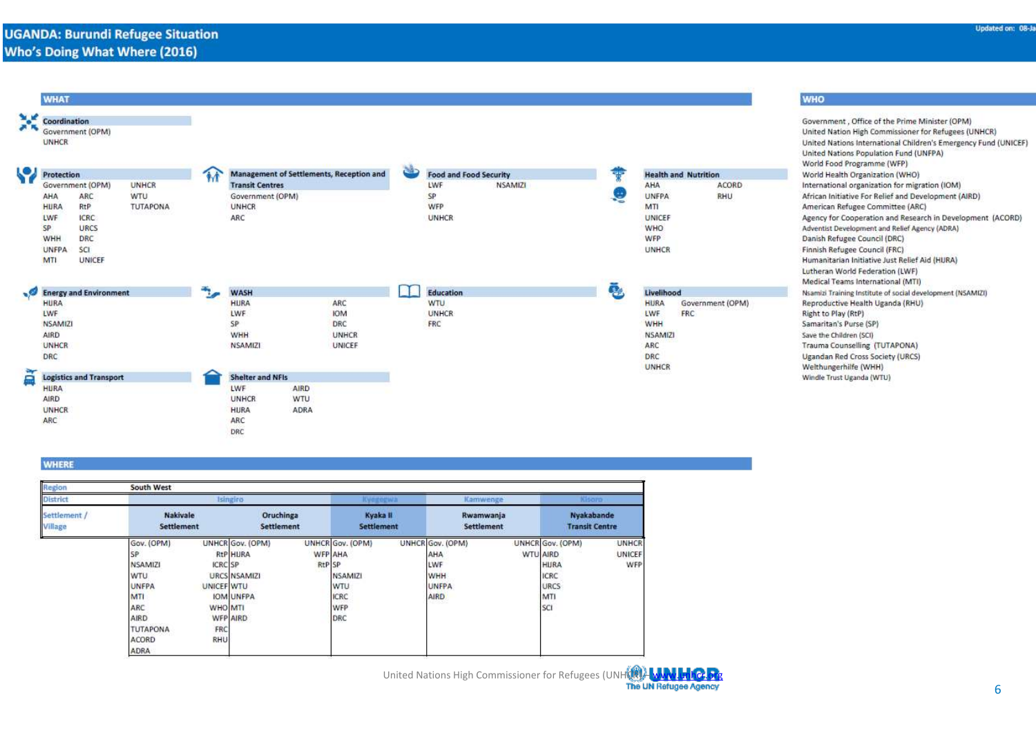| <b>WHAT</b>                                                                  |               |                         |                                          |   |                               |    |                |                             | <b>WHO</b>                                                                                                                                                                                                                                                                           |
|------------------------------------------------------------------------------|---------------|-------------------------|------------------------------------------|---|-------------------------------|----|----------------|-----------------------------|--------------------------------------------------------------------------------------------------------------------------------------------------------------------------------------------------------------------------------------------------------------------------------------|
| <b>SIL</b><br>Coordination<br>Government (OPM)<br><b>UNHCR</b><br>Protection |               |                         | Management of Settlements, Reception and | ف | <b>Food and Food Security</b> | 55 |                | <b>Health and Nutrition</b> | Government, Office of the Prime Minister (OPM)<br>United Nation High Commissioner for Refugees (UNHCR)<br>United Nations International Children's Emergency Fund (UNICEF)<br>United Nations Population Fund (UNFPA)<br>World Food Programme (WFP)<br>World Health Organization (WHO) |
| Government (OPM)<br>UNHCR                                                    |               | <b>Transit Centres</b>  |                                          |   | LWF<br><b>NSAMIZI</b>         |    | AHA            | ACORD                       | International organization for migration (IOM)                                                                                                                                                                                                                                       |
| WTU<br>AHA<br>ARC                                                            |               | Government (OPM)        |                                          |   | SP                            |    | <b>UNFPA</b>   | <b>RHU</b>                  | African Initiative For Relief and Development (AIRD)                                                                                                                                                                                                                                 |
| RtP<br>TUTAPONA<br><b>HURA</b>                                               |               | <b>UNHCR</b>            |                                          |   | WFP                           |    | MTI            |                             | American Refugee Committee (ARC)                                                                                                                                                                                                                                                     |
| <b>ICRC</b><br>LWF<br>SP<br>URCS                                             |               | ARC                     |                                          |   | <b>UNHCR</b>                  |    | UNICEF<br>WHO  |                             | Agency for Cooperation and Research in Development (ACORD)<br>Adventist Development and Relief Agency (ADRA)                                                                                                                                                                         |
| WHH<br><b>DRC</b>                                                            |               |                         |                                          |   |                               |    | WFP            |                             | Danish Refugee Council (DRC)                                                                                                                                                                                                                                                         |
| <b>SCI</b><br><b>UNFPA</b>                                                   |               |                         |                                          |   |                               |    | <b>UNHCR</b>   |                             | Finnish Refugee Council (FRC)                                                                                                                                                                                                                                                        |
| MTI<br>UNICEF                                                                |               |                         |                                          |   |                               |    |                |                             | Humanitarian Initiative Just Relief Aid (HURA)                                                                                                                                                                                                                                       |
|                                                                              |               |                         |                                          |   |                               |    |                |                             | Lutheran World Federation (LWF)                                                                                                                                                                                                                                                      |
| Energy and Environment                                                       | $\frac{1}{2}$ | <b>WASH</b>             |                                          |   | Education                     | ē, | Livelihood     |                             | Medical Teams International (MTI)<br>Nsamizi Training Institute of social development (NSAMIZI)                                                                                                                                                                                      |
| <b>HURA</b>                                                                  |               | <b>HURA</b>             | ARC                                      |   | <b>WTU</b>                    |    | <b>HURA</b>    | Government (OPM)            | Reproductive Health Uganda (RHU)                                                                                                                                                                                                                                                     |
| LWF                                                                          |               | LWF                     | <b>IOM</b>                               |   | <b>UNHCR</b>                  |    | LWF            | FRC                         | Right to Play (RtP)                                                                                                                                                                                                                                                                  |
| <b>NSAMIZI</b>                                                               |               | SP                      | DRC                                      |   | FRC                           |    | WHH            |                             | Samaritan's Purse (SP)                                                                                                                                                                                                                                                               |
| <b>AIRD</b>                                                                  |               | <b>WHH</b>              | <b>UNHCR</b>                             |   |                               |    | <b>NSAMIZI</b> |                             | Save the Children (SCI)                                                                                                                                                                                                                                                              |
| UNHCR                                                                        |               | <b>NSAMIZI</b>          | UNICEF                                   |   |                               |    | ARC            |                             | Trauma Counselling (TUTAPONA)                                                                                                                                                                                                                                                        |
| DRC                                                                          |               |                         |                                          |   |                               |    | DRC            |                             | Ugandan Red Cross Society (URCS)                                                                                                                                                                                                                                                     |
| <b>Logistics and Transport</b><br>╒                                          |               | <b>Shelter and NFIs</b> |                                          |   |                               |    | UNHCR          |                             | Welthungerhilfe (WHH)<br>Windle Trust Uganda (WTU)                                                                                                                                                                                                                                   |
| <b>HURA</b>                                                                  |               | LWF                     | AIRD                                     |   |                               |    |                |                             |                                                                                                                                                                                                                                                                                      |
| <b>AIRD</b>                                                                  |               | <b>UNHCR</b>            | WTU                                      |   |                               |    |                |                             |                                                                                                                                                                                                                                                                                      |
| <b>UNHCR</b>                                                                 |               | HURA                    | ADRA                                     |   |                               |    |                |                             |                                                                                                                                                                                                                                                                                      |
| ARC                                                                          |               | ARC                     |                                          |   |                               |    |                |                             |                                                                                                                                                                                                                                                                                      |
|                                                                              |               | DRC                     |                                          |   |                               |    |                |                             |                                                                                                                                                                                                                                                                                      |

### **WHERE**

| Region                                   | South West                                                                                                                                      |                                                              |                                                                                     |                                 |                                                                 |  |                                                                             |  |                                                                                  |                        |
|------------------------------------------|-------------------------------------------------------------------------------------------------------------------------------------------------|--------------------------------------------------------------|-------------------------------------------------------------------------------------|---------------------------------|-----------------------------------------------------------------|--|-----------------------------------------------------------------------------|--|----------------------------------------------------------------------------------|------------------------|
| <b>District</b><br>Settlement<br>Village |                                                                                                                                                 | Isingiro                                                     |                                                                                     |                                 |                                                                 |  | Kamwenge                                                                    |  | Kisaro                                                                           |                        |
|                                          | <b>Nakivale</b><br>Settlement                                                                                                                   |                                                              | Oruchinga<br>Settlement                                                             |                                 | Kyaka II<br>Settlement                                          |  | Rwamwanja<br>Settlement                                                     |  | Nyakabande<br><b>Transit Centre</b>                                              |                        |
|                                          | Gov. (OPM)<br><b>SP</b><br><b>NSAMIZI</b><br><b>WTU</b><br><b>UNFPA</b><br>MTI<br>ARC<br><b>AIRD</b><br><b>TUTAPONA</b><br>ACORD<br><b>ADRA</b> | <b>ICRC SP</b><br><b>UNICEF WTU</b><br>WHO MTI<br>FRC<br>RHU | UNHCR Gov. (OPM)<br><b>RtP HURA</b><br>URCS NSAMIZI<br><b>IOM UNFPA</b><br>WFP AIRD | <b>WFP AHA</b><br><b>RtP</b> SP | UNHCR Gov. (OPM)<br>NSAMIZI<br>WTU<br><b>ICRC</b><br>WFP<br>DRC |  | UNHCR Gov. (OPM)<br>AHA<br>LWF<br><b>WHH</b><br><b>UNFPA</b><br><b>AIRD</b> |  | UNHCR Gov. (OPM)<br>WTU AIRD<br><b>HURA</b><br><b>ICRC</b><br>URCS<br>MTI<br>SCI | UNHCR<br>UNICEF<br>WFP |

United Nations High Commissioner for Refugees (UNHCR) – [www.unhcr.org](http://www.unhcr.org/)<br>The UN Refugee Agency